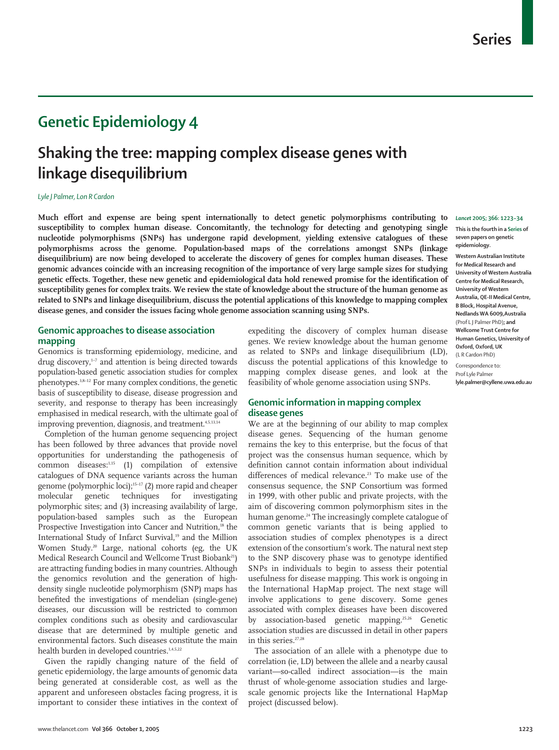# **Genetic Epidemiology 4**

# **Shaking the tree: mapping complex disease genes with linkage disequilibrium**

# *Lyle J Palmer, Lon R Cardon*

**Much effort and expense are being spent internationally to detect genetic polymorphisms contributing to susceptibility to complex human disease. Concomitantly, the technology for detecting and genotyping single nucleotide polymorphisms (SNPs) has undergone rapid development, yielding extensive catalogues of these polymorphisms across the genome. Population-based maps of the correlations amongst SNPs (linkage disequilibrium) are now being developed to accelerate the discovery of genes for complex human diseases. These genomic advances coincide with an increasing recognition of the importance of very large sample sizes for studying genetic effects. Together, these new genetic and epidemiological data hold renewed promise for the identification of susceptibility genes for complex traits. We review the state of knowledge about the structure of the human genome as related to SNPs and linkage disequilibrium, discuss the potential applications of this knowledge to mapping complex disease genes, and consider the issues facing whole genome association scanning using SNPs.** 

# **Genomic approaches to disease association mapping**

Genomics is transforming epidemiology, medicine, and drug discovery, $1-7$  and attention is being directed towards population-based genetic association studies for complex phenotypes.3,8–12 For many complex conditions, the genetic basis of susceptibility to disease, disease progression and severity, and response to therapy has been increasingly emphasised in medical research, with the ultimate goal of improving prevention, diagnosis, and treatment.<sup>4,5,13,14</sup>

Completion of the human genome sequencing project has been followed by three advances that provide novel opportunities for understanding the pathogenesis of common diseases: $(1)$  compilation of extensive catalogues of DNA sequence variants across the human genome (polymorphic loci);15–17 (2) more rapid and cheaper molecular genetic techniques for investigating polymorphic sites; and (3) increasing availability of large, population-based samples such as the European Prospective Investigation into Cancer and Nutrition,<sup>18</sup> the International Study of Infarct Survival,<sup>19</sup> and the Million Women Study.20 Large, national cohorts (eg, the UK Medical Research Council and Wellcome Trust Biobank<sup>21</sup>) are attracting funding bodies in many countries. Although the genomics revolution and the generation of highdensity single nucleotide polymorphism (SNP) maps has benefited the investigations of mendelian (single-gene) diseases, our discussion will be restricted to common complex conditions such as obesity and cardiovascular disease that are determined by multiple genetic and environmental factors. Such diseases constitute the main health burden in developed countries.<sup>1,4,5,22</sup>

Given the rapidly changing nature of the field of genetic epidemiology, the large amounts of genomic data being generated at considerable cost, as well as the apparent and unforeseen obstacles facing progress, it is important to consider these intiatives in the context of expediting the discovery of complex human disease genes. We review knowledge about the human genome as related to SNPs and linkage disequilibrium (LD), discuss the potential applications of this knowledge to mapping complex disease genes, and look at the feasibility of whole genome association using SNPs.

# **Genomic information in mapping complex disease genes**

We are at the beginning of our ability to map complex disease genes. Sequencing of the human genome remains the key to this enterprise, but the focus of that project was the consensus human sequence, which by definition cannot contain information about individual differences of medical relevance.<sup>23</sup> To make use of the consensus sequence, the SNP Consortium was formed in 1999, with other public and private projects, with the aim of discovering common polymorphism sites in the human genome.<sup>24</sup> The increasingly complete catalogue of common genetic variants that is being applied to association studies of complex phenotypes is a direct extension of the consortium's work. The natural next step to the SNP discovery phase was to genotype identified SNPs in individuals to begin to assess their potential usefulness for disease mapping. This work is ongoing in the International HapMap project. The next stage will involve applications to gene discovery. Some genes associated with complex diseases have been discovered by association-based genetic mapping.25,26 Genetic association studies are discussed in detail in other papers in this series.27,28

The association of an allele with a phenotype due to correlation (ie, LD) between the allele and a nearby causal variant—so-called indirect association—is the main thrust of whole-genome association studies and largescale genomic projects like the International HapMap project (discussed below).

#### *Lancet* **2005; 366: 1223–34**

**This is the fourth in a Series of seven papers on genetic epidemiology.**

**Western Australian Institute for Medical Research and University of Western Australia Centre for Medical Research, University of Western Australia, QE-II Medical Centre, B Block, Hospital Avenue, Nedlands WA 6009,Australia** (Prof L J Palmer PhD)**; and Wellcome Trust Centre for Human Genetics, University of Oxford, Oxford, UK** (L R Cardon PhD)

Correspondence to: Prof Lyle Palmer **lyle.palmer@cyllene.uwa.edu.au**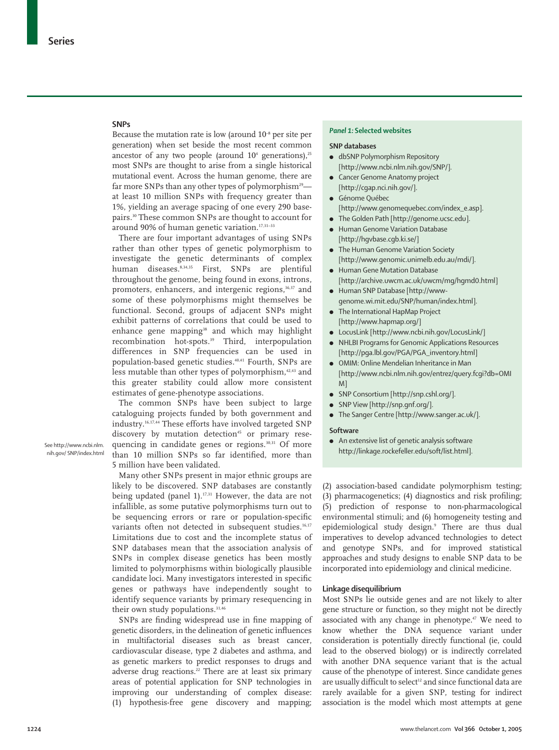## **SNPs**

Because the mutation rate is low (around  $10^{-8}$  per site per generation) when set beside the most recent common ancestor of any two people (around  $10^4$  generations),<sup>25</sup> most SNPs are thought to arise from a single historical mutational event. Across the human genome, there are far more SNPs than any other types of polymorphism<sup>29</sup> at least 10 million SNPs with frequency greater than 1%, yielding an average spacing of one every 290 basepairs.30 These common SNPs are thought to account for around 90% of human genetic variation. $17,31-33$ 

There are four important advantages of using SNPs rather than other types of genetic polymorphism to investigate the genetic determinants of complex human diseases.8,34,35 First, SNPs are plentiful throughout the genome, being found in exons, introns, promoters, enhancers, and intergenic regions,<sup>36,37</sup> and some of these polymorphisms might themselves be functional. Second, groups of adjacent SNPs might exhibit patterns of correlations that could be used to enhance gene mapping<sup>38</sup> and which may highlight recombination hot-spots.<sup>39</sup> Third, interpopulation differences in SNP frequencies can be used in population-based genetic studies.40,41 Fourth, SNPs are less mutable than other types of polymorphism,<sup>42,43</sup> and this greater stability could allow more consistent estimates of gene-phenotype associations.

The common SNPs have been subject to large cataloguing projects funded by both government and industry.16,17,44 These efforts have involved targeted SNP discovery by mutation detection<sup>45</sup> or primary resequencing in candidate genes or regions. $30,31$  Of more than 10 million SNPs so far identified, more than 5 million have been validated.

Many other SNPs present in major ethnic groups are likely to be discovered. SNP databases are constantly being updated (panel 1).<sup>17,31</sup> However, the data are not infallible, as some putative polymorphisms turn out to be sequencing errors or rare or population-specific variants often not detected in subsequent studies.<sup>16,17</sup> Limitations due to cost and the incomplete status of SNP databases mean that the association analysis of SNPs in complex disease genetics has been mostly limited to polymorphisms within biologically plausible candidate loci. Many investigators interested in specific genes or pathways have independently sought to identify sequence variants by primary resequencing in their own study populations.<sup>31,46</sup>

SNPs are finding widespread use in fine mapping of genetic disorders, in the delineation of genetic influences in multifactorial diseases such as breast cancer, cardiovascular disease, type 2 diabetes and asthma, and as genetic markers to predict responses to drugs and adverse drug reactions.<sup>22</sup> There are at least six primary areas of potential application for SNP technologies in improving our understanding of complex disease: (1) hypothesis-free gene discovery and mapping;

#### *Panel 1:* **Selected websites**

#### **SNP databases**

- dbSNP Polymorphism Repository [http://www.ncbi.nlm.nih.gov/SNP/].
- Cancer Genome Anatomy project [http://cgap.nci.nih.gov/].
- Génome Québec [http://www.genomequebec.com/index\_e.asp].
- The Golden Path [http://genome.ucsc.edu].
- Human Genome Variation Database [http://hgvbase.cgb.ki.se/]
- The Human Genome Variation Society [http://www.genomic.unimelb.edu.au/mdi/].
- Human Gene Mutation Database [http://archive.uwcm.ac.uk/uwcm/mg/hgmd0.html]
- Human SNP Database [http://wwwgenome.wi.mit.edu/SNP/human/index.html].
- The International HapMap Project [http://www.hapmap.org/]
- LocusLink [http://www.ncbi.nih.gov/LocusLink/]
- NHLBI Programs for Genomic Applications Resources [http://pga.lbl.gov/PGA/PGA\_inventory.html]
- OMIM: Online Mendelian Inheritance in Man [http://www.ncbi.nlm.nih.gov/entrez/query.fcgi?db=OMI M]
- SNP Consortium [http://snp.cshl.org/].
- SNP View [http://snp.gnf.org/].
- The Sanger Centre [http://www.sanger.ac.uk/].

#### **Software**

● An extensive list of genetic analysis software http://linkage.rockefeller.edu/soft/list.html].

(2) association-based candidate polymorphism testing; (3) pharmacogenetics; (4) diagnostics and risk profiling; (5) prediction of response to non-pharmacological environmental stimuli; and (6) homogeneity testing and epidemiological study design.<sup>9</sup> There are thus dual imperatives to develop advanced technologies to detect and genotype SNPs, and for improved statistical approaches and study designs to enable SNP data to be incorporated into epidemiology and clinical medicine.

# **Linkage disequilibrium**

Most SNPs lie outside genes and are not likely to alter gene structure or function, so they might not be directly associated with any change in phenotype.<sup>47</sup> We need to know whether the DNA sequence variant under consideration is potentially directly functional (ie, could lead to the observed biology) or is indirectly correlated with another DNA sequence variant that is the actual cause of the phenotype of interest. Since candidate genes are usually difficult to select<sup>12</sup> and since functional data are rarely available for a given SNP, testing for indirect association is the model which most attempts at gene

**1224** www.thelancet.com **Vol 366 October 1, 2005** 

See http://www.ncbi.nlm. nih.gov/ SNP/index.html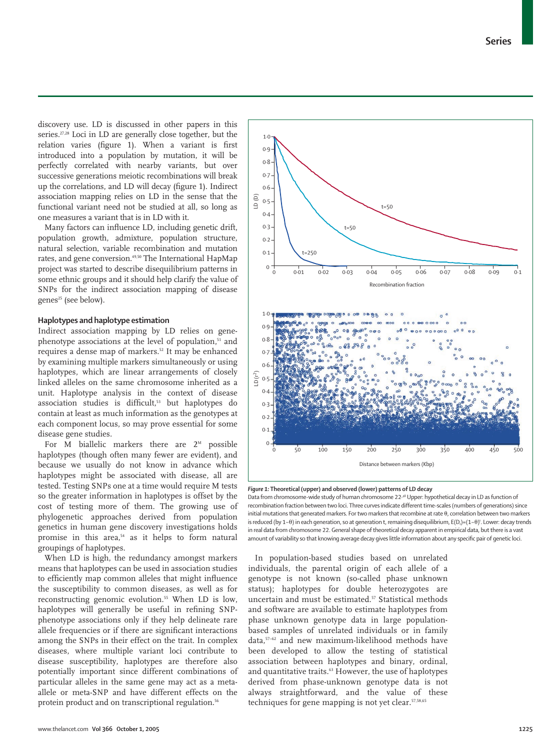discovery use. LD is discussed in other papers in this series.<sup>27,28</sup> Loci in LD are generally close together, but the relation varies (figure 1). When a variant is first introduced into a population by mutation, it will be perfectly correlated with nearby variants, but over successive generations meiotic recombinations will break up the correlations, and LD will decay (figure 1). Indirect association mapping relies on LD in the sense that the functional variant need not be studied at all, so long as one measures a variant that is in LD with it.

Many factors can influence LD, including genetic drift, population growth, admixture, population structure, natural selection, variable recombination and mutation rates, and gene conversion.49,50 The International HapMap project was started to describe disequilibrium patterns in some ethnic groups and it should help clarify the value of SNPs for the indirect association mapping of disease genes<sup>25</sup> (see below).

#### **Haplotypes and haplotype estimation**

Indirect association mapping by LD relies on genephenotype associations at the level of population,<sup>51</sup> and requires a dense map of markers.52 It may be enhanced by examining multiple markers simultaneously or using haplotypes, which are linear arrangements of closely linked alleles on the same chromosome inherited as a unit. Haplotype analysis in the context of disease association studies is difficult,<sup>53</sup> but haplotypes do contain at least as much information as the genotypes at each component locus, so may prove essential for some disease gene studies.

For M biallelic markers there are  $2^M$  possible haplotypes (though often many fewer are evident), and because we usually do not know in advance which haplotypes might be associated with disease, all are tested. Testing SNPs one at a time would require M tests so the greater information in haplotypes is offset by the cost of testing more of them. The growing use of phylogenetic approaches derived from population genetics in human gene discovery investigations holds promise in this area,<sup>54</sup> as it helps to form natural groupings of haplotypes.

When LD is high, the redundancy amongst markers means that haplotypes can be used in association studies to efficiently map common alleles that might influence the susceptibility to common diseases, as well as for reconstructing genomic evolution.55 When LD is low, haplotypes will generally be useful in refining SNPphenotype associations only if they help delineate rare allele frequencies or if there are significant interactions among the SNPs in their effect on the trait. In complex diseases, where multiple variant loci contribute to disease susceptibility, haplotypes are therefore also potentially important since different combinations of particular alleles in the same gene may act as a metaallele or meta-SNP and have different effects on the protein product and on transcriptional regulation.<sup>56</sup>



*Figure 1:* **Theoretical (upper) and observed (lower) patterns of LD decay** 

Data from chromosome-wide study of human chromosome 22·48 Upper: hypothetical decay in LD as function of recombination fraction between two loci. Three curves indicate different time-scales (numbers of generations) since initial mutations that generated markers. For two markers that recombine at rate  $\theta$ , correlation between two markers is reduced (by 1–0) in each generation, so at generation t, remaining disequilibrium, E(D,)=(1–0)<sup>t</sup>. Lower: decay trends in real data from chromosome 22. General shape of theoretical decay apparent in empirical data, but there is a vast amount of variability so that knowing average decay gives little information about any specific pair of genetic loci.

In population-based studies based on unrelated individuals, the parental origin of each allele of a genotype is not known (so-called phase unknown status); haplotypes for double heterozygotes are uncertain and must be estimated.<sup>57</sup> Statistical methods and software are available to estimate haplotypes from phase unknown genotype data in large populationbased samples of unrelated individuals or in family data,57–62 and new maximum-likelihood methods have been developed to allow the testing of statistical association between haplotypes and binary, ordinal, and quantitative traits.<sup>63</sup> However, the use of haplotypes derived from phase-unknown genotype data is not always straightforward, and the value of these techniques for gene mapping is not yet clear. 57,58,65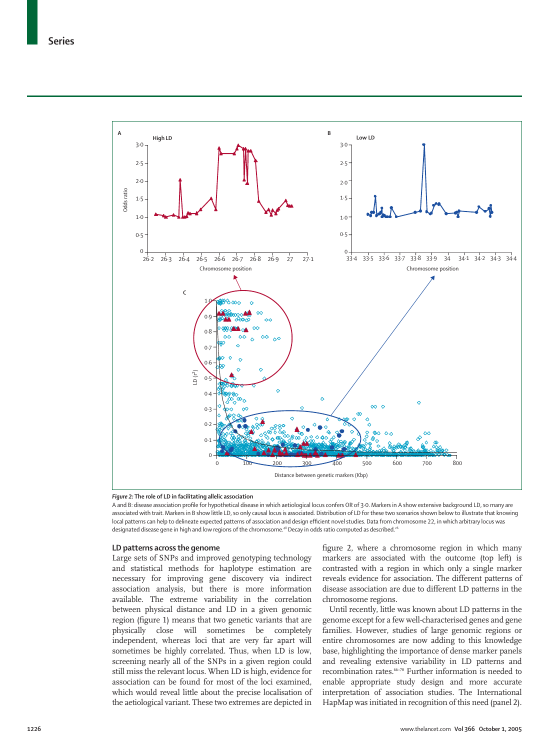

#### *Figure 2:* **The role of LD in facilitating allelic association**

A and B: disease association profile for hypothetical disease in which aetiological locus confers OR of 3·0. Markers in A show extensive background LD, so many are associated with trait. Markers in B show little LD, so only causal locus is associated. Distribution of LD for these two scenarios shown below to illustrate that knowing local patterns can help to delineate expected patterns of association and design efficient novel studies. Data from chromosome 22, in which arbitrary locus was designated disease gene in high and low regions of the chromosome.<sup>48</sup> Decay in odds ratio computed as described.<sup>26</sup>

## **LD patterns across the genome**

Large sets of SNPs and improved genotyping technology and statistical methods for haplotype estimation are necessary for improving gene discovery via indirect association analysis, but there is more information available. The extreme variability in the correlation between physical distance and LD in a given genomic region (figure 1) means that two genetic variants that are physically close will sometimes be completely independent, whereas loci that are very far apart will sometimes be highly correlated. Thus, when LD is low, screening nearly all of the SNPs in a given region could still miss the relevant locus. When LD is high, evidence for association can be found for most of the loci examined, which would reveal little about the precise localisation of the aetiological variant. These two extremes are depicted in

figure 2, where a chromosome region in which many markers are associated with the outcome (top left) is contrasted with a region in which only a single marker reveals evidence for association. The different patterns of disease association are due to different LD patterns in the chromosome regions.

Until recently, little was known about LD patterns in the genome except for a few well-characterised genes and gene families. However, studies of large genomic regions or entire chromosomes are now adding to this knowledge base, highlighting the importance of dense marker panels and revealing extensive variability in LD patterns and recombination rates.66–70 Further information is needed to enable appropriate study design and more accurate interpretation of association studies. The International HapMap was initiated in recognition of this need (panel 2).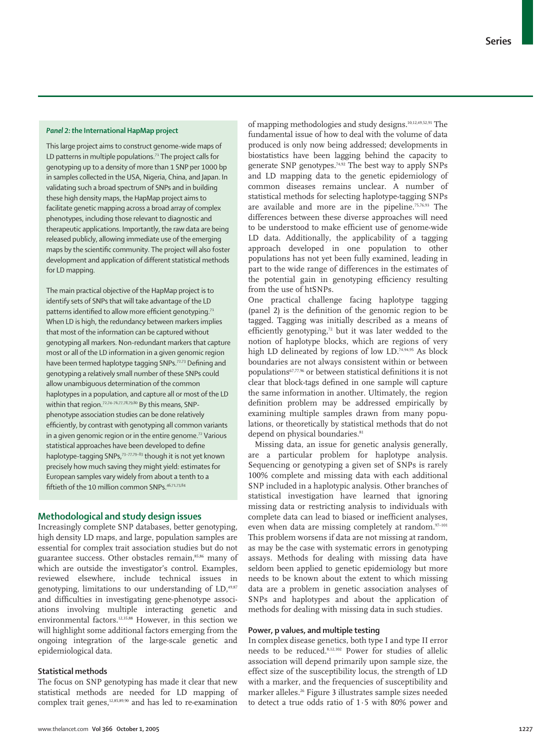## *Panel 2: t***he International HapMap project**

This large project aims to construct genome-wide maps of LD patterns in multiple populations.<sup>71</sup> The project calls for genotyping up to a density of more than 1 SNP per 1000 bp in samples collected in the USA, Nigeria, China, and Japan. In validating such a broad spectrum of SNPs and in building these high density maps, the HapMap project aims to facilitate genetic mapping across a broad array of complex phenotypes, including those relevant to diagnostic and therapeutic applications. Importantly, the raw data are being released publicly, allowing immediate use of the emerging maps by the scientific community. The project will also foster development and application of different statistical methods for LD mapping.

The main practical objective of the HapMap project is to identify sets of SNPs that will take advantage of the LD patterns identified to allow more efficient genotyping.<sup>71</sup> When LD is high, the redundancy between markers implies that most of the information can be captured without genotyping all markers. Non-redundant markers that capture most or all of the LD information in a given genomic region have been termed haplotype tagging SNPs.<sup>72,73</sup> Defining and genotyping a relatively small number of these SNPs could allow unambiguous determination of the common haplotypes in a population, and capture all or most of the LD within that region.<sup>72,74-76,77,78,79,80</sup> By this means, SNPphenotype association studies can be done relatively efficiently, by contrast with genotyping all common variants in a given genomic region or in the entire genome.<sup>72</sup> Various statistical approaches have been developed to define haplotype-tagging SNPs,73–77,79–83 though it is not yet known precisely how much saving they might yield: estimates for European samples vary widely from about a tenth to a fiftieth of the 10 million common SNPs. 46,71,73,84

# **Methodological and study design issues**

Increasingly complete SNP databases, better genotyping, high density LD maps, and large, population samples are essential for complex trait association studies but do not guarantee success. Other obstacles remain,<sup>85,86</sup> many of which are outside the investigator's control. Examples, reviewed elsewhere, include technical issues in genotyping, limitations to our understanding of  $LD<sub>1</sub><sup>49,87</sup>$ and difficulties in investigating gene-phenotype associations involving multiple interacting genetic and environmental factors.<sup>12,35,88</sup> However, in this section we will highlight some additional factors emerging from the ongoing integration of the large-scale genetic and epidemiological data.

### **Statistical methods**

The focus on SNP genotyping has made it clear that new statistical methods are needed for LD mapping of complex trait genes,12,85,89,90 and has led to re-examination of mapping methodologies and study designs.10,12,49,52,91 The fundamental issue of how to deal with the volume of data produced is only now being addressed; developments in biostatistics have been lagging behind the capacity to generate SNP genotypes.74,92 The best way to apply SNPs and LD mapping data to the genetic epidemiology of common diseases remains unclear. A number of statistical methods for selecting haplotype-tagging SNPs are available and more are in the pipeline.75,76,93 The differences between these diverse approaches will need to be understood to make efficient use of genome-wide LD data. Additionally, the applicability of a tagging approach developed in one population to other populations has not yet been fully examined, leading in part to the wide range of differences in the estimates of the potential gain in genotyping efficiency resulting from the use of htSNPs.

One practical challenge facing haplotype tagging (panel 2) is the definition of the genomic region to be tagged. Tagging was initially described as a means of efficiently genotyping,<sup>72</sup> but it was later wedded to the notion of haplotype blocks, which are regions of very high LD delineated by regions of low LD.<sup>74,94,95</sup> As block boundaries are not always consistent within or between populations67,77,96 or between statistical definitions it is not clear that block-tags defined in one sample will capture the same information in another. Ultimately, the region definition problem may be addressed empirically by examining multiple samples drawn from many populations, or theoretically by statistical methods that do not depend on physical boundaries.<sup>81</sup>

Missing data, an issue for genetic analysis generally, are a particular problem for haplotype analysis. Sequencing or genotyping a given set of SNPs is rarely 100% complete and missing data with each additional SNP included in a haplotypic analysis. Other branches of statistical investigation have learned that ignoring missing data or restricting analysis to individuals with complete data can lead to biased or inefficient analyses, even when data are missing completely at random.<sup>97-101</sup> This problem worsens if data are not missing at random, as may be the case with systematic errors in genotyping assays. Methods for dealing with missing data have seldom been applied to genetic epidemiology but more needs to be known about the extent to which missing data are a problem in genetic association analyses of SNPs and haplotypes and about the application of methods for dealing with missing data in such studies.

## **Power, p values, and multiple testing**

In complex disease genetics, both type I and type II error needs to be reduced.8,12,102 Power for studies of allelic association will depend primarily upon sample size, the effect size of the susceptibility locus, the strength of LD with a marker, and the frequencies of susceptibility and marker alleles.26 Figure 3 illustrates sample sizes needed to detect a true odds ratio of 1·5 with 80% power and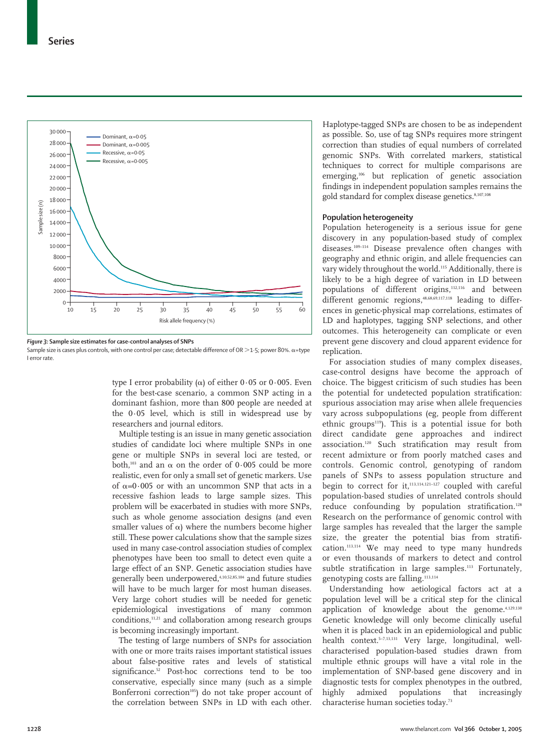

*Figure 3:* **Sample size estimates for case-control analyses of SNPs** 

Sample size is cases plus controls, with one control per case; detectable difference of OR  $>$ 1 $\cdot$ 5; power 80%.  $\alpha$ =type I error rate.

> type I error probability ( $\alpha$ ) of either 0.05 or 0.005. Even for the best-case scenario, a common SNP acting in a dominant fashion, more than 800 people are needed at the 0·05 level, which is still in widespread use by researchers and journal editors.

> Multiple testing is an issue in many genetic association studies of candidate loci where multiple SNPs in one gene or multiple SNPs in several loci are tested, or both,<sup>103</sup> and an  $\alpha$  on the order of 0.005 could be more realistic, even for only a small set of genetic markers. Use of  $\alpha$ =0.005 or with an uncommon SNP that acts in a recessive fashion leads to large sample sizes. This problem will be exacerbated in studies with more SNPs, such as whole genome association designs (and even smaller values of  $\alpha$ ) where the numbers become higher still. These power calculations show that the sample sizes used in many case-control association studies of complex phenotypes have been too small to detect even quite a large effect of an SNP. Genetic association studies have generally been underpowered,4,10,52,85,104 and future studies will have to be much larger for most human diseases. Very large cohort studies will be needed for genetic epidemiological investigations of many common conditions,<sup>11,21</sup> and collaboration among research groups is becoming increasingly important.

> The testing of large numbers of SNPs for association with one or more traits raises important statistical issues about false-positive rates and levels of statistical significance.52 Post-hoc corrections tend to be too conservative, especially since many (such as a simple Bonferroni correction<sup>105</sup>) do not take proper account of the correlation between SNPs in LD with each other.

Haplotype-tagged SNPs are chosen to be as independent as possible. So, use of tag SNPs requires more stringent correction than studies of equal numbers of correlated genomic SNPs. With correlated markers, statistical techniques to correct for multiple comparisons are emerging,<sup>106</sup> but replication of genetic association findings in independent population samples remains the gold standard for complex disease genetics.8,107,108

## **Population heterogeneity**

Population heterogeneity is a serious issue for gene discovery in any population-based study of complex diseases.109–114 Disease prevalence often changes with geography and ethnic origin, and allele frequencies can vary widely throughout the world.115 Additionally, there is likely to be a high degree of variation in LD between populations of different origins,112,116 and between different genomic regions,<sup>48,68,69,117,118</sup> leading to differences in genetic-physical map correlations, estimates of LD and haplotypes, tagging SNP selections, and other outcomes. This heterogeneity can complicate or even prevent gene discovery and cloud apparent evidence for replication.

For association studies of many complex diseases, case-control designs have become the approach of choice. The biggest criticism of such studies has been the potential for undetected population stratification: spurious association may arise when allele frequencies vary across subpopulations (eg, people from different ethnic groups<sup>119</sup>). This is a potential issue for both direct candidate gene approaches and indirect association.120 Such stratification may result from recent admixture or from poorly matched cases and controls. Genomic control, genotyping of random panels of SNPs to assess population structure and begin to correct for it, $113,114,121-127$  coupled with careful population-based studies of unrelated controls should reduce confounding by population stratification.<sup>128</sup> Research on the performance of genomic control with large samples has revealed that the larger the sample size, the greater the potential bias from stratification.113,114 We may need to type many hundreds or even thousands of markers to detect and control subtle stratification in large samples.<sup>113</sup> Fortunately, genotyping costs are falling.113,114

Understanding how aetiological factors act at a population level will be a critical step for the clinical application of knowledge about the genome.<sup>4,129,130</sup> Genetic knowledge will only become clinically useful when it is placed back in an epidemiological and public health context.5–7,13,131 Very large, longitudinal, wellcharacterised population-based studies drawn from multiple ethnic groups will have a vital role in the implementation of SNP-based gene discovery and in diagnostic tests for complex phenotypes in the outbred, highly admixed populations that increasingly characterise human societies today.73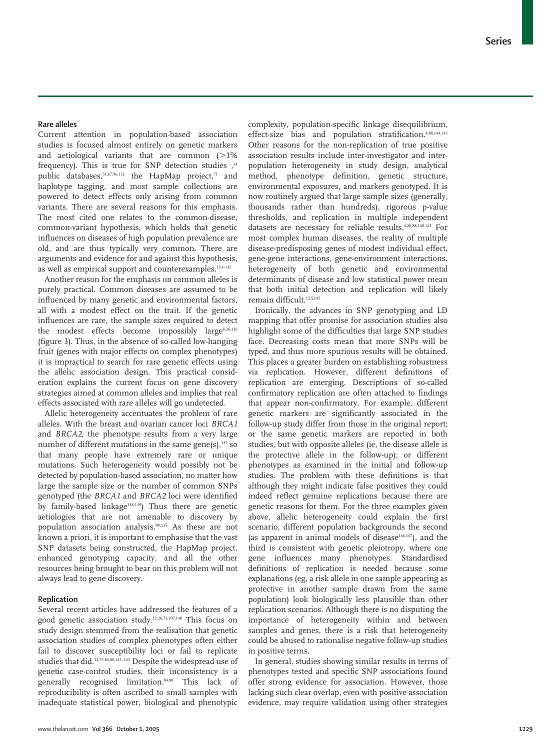#### **Rare alleles**

Current attention in population-based association studies is focused almost entirely on genetic markers and aetiological variants that are common  $(>1%)$ frequency). This is true for SNP detection studies  $^{24}$ public databases,<sup>31,67,96,132</sup> the HapMap project,<sup>71</sup> and haplotype tagging, and most sample collections are powered to detect effects only arising from common variants. There are several reasons for this emphasis. The most cited one relates to the common-disease, common-variant hypothesis, which holds that genetic influences on diseases of high population prevalence are old, and are thus typically very common. There are arguments and evidence for and against this hypothesis, as well as empirical support and counterexamples.<sup>133-135</sup>

Another reason for the emphasis on common alleles is purely practical. Common diseases are assumed to be influenced by many genetic and environmental factors, all with a modest effect on the trait. If the genetic influences are rare, the sample sizes required to detect the modest effects become impossibly large<sup>8,26,136</sup> (figure 3). Thus, in the absence of so-called low-hanging fruit (genes with major effects on complex phenotypes) it is impractical to search for rare genetic effects using the allelic association design. This practical consideration explains the current focus on gene discovery strategies aimed at common alleles and implies that real effects associated with rare alleles will go undetected.

Allelic heterogeneity accentuates the problem of rare alleles. With the breast and ovarian cancer loci *BRCA1* and *BRCA2*, the phenotype results from a very large number of different mutations in the same gene(s), $^{137}$  so that many people have extremely rare or unique mutations. Such heterogeneity would possibly not be detected by population-based association, no matter how large the sample size or the number of common SNPs genotyped (the *BRCA1* and *BRCA2* loci were identified by family-based linkage<sup>138,139</sup>) Thus there are genetic aetiologies that are not amenable to discovery by population association analysis.88,135 As these are not known a priori, it is important to emphasise that the vast SNP datasets being constructed, the HapMap project, enhanced genotyping capacity, and all the other resources being brought to bear on this problem will not always lead to gene discovery.

#### **Replication**

Several recent articles have addressed the features of a good genetic association study.12,26,73,107,140 This focus on study design stemmed from the realisation that genetic association studies of complex phenotypes often either fail to discover susceptibility loci or fail to replicate studies that did.12,73,85,88,141–143 Despite the widespread use of genetic case-control studies, their inconsistency is a generally recognised limitation.<sup>84,88</sup> This lack of reproducibility is often ascribed to small samples with inadequate statistical power, biological and phenotypic complexity, population-specific linkage disequilibrium, effect-size bias and population stratification.<sup>8,88,144,145</sup> Other reasons for the non-replication of true positive association results include inter-investigator and interpopulation heterogeneity in study design, analytical method, phenotype definition, genetic structure, environmental exposures, and markers genotyped. It is now routinely argued that large sample sizes (generally, thousands rather than hundreds), rigorous p-value thresholds, and replication in multiple independent datasets are necessary for reliable results.4,26,88,140,143 For most complex human diseases, the reality of multiple disease-predisposing genes of modest individual effect, gene-gene interactions, gene-environment interactions, heterogeneity of both genetic and environmental determinants of disease and low statistical power mean that both initial detection and replication will likely remain difficult.12,52,85

Ironically, the advances in SNP genotyping and LD mapping that offer promise for association studies also highlight some of the difficulties that large SNP studies face. Decreasing costs mean that more SNPs will be typed, and thus more spurious results will be obtained. This places a greater burden on establishing robustness via replication. However, different definitions of replication are emerging. Descriptions of so-called confirmatory replication are often attached to findings that appear non-confirmatory. For example, different genetic markers are significantly associated in the follow-up study differ from those in the original report; or the same genetic markers are reported in both studies, but with opposite alleles (ie, the disease allele is the protective allele in the follow-up); or different phenotypes as examined in the initial and follow-up studies. The problem with these definitions is that although they might indicate false positives they could indeed reflect genuine replications because there are genetic reasons for them. For the three examples given above, allelic heterogeneity could explain the first scenario, different population backgrounds the second (as apparent in animal models of disease $146,147$ ), and the third is consistent with genetic pleiotropy, where one gene influences many phenotypes. Standardised definitions of replication is needed because some explanations (eg, a risk allele in one sample appearing as protective in another sample drawn from the same population) look biologically less plausible than other replication scenarios. Although there is no disputing the importance of heterogeneity within and between samples and genes, there is a risk that heterogeneity could be abused to rationalise negative follow-up studies in positive terms.

In general, studies showing similar results in terms of phenotypes tested and specific SNP associations found offer strong evidence for association. However, those lacking such clear overlap, even with positive association evidence, may require validation using other strategies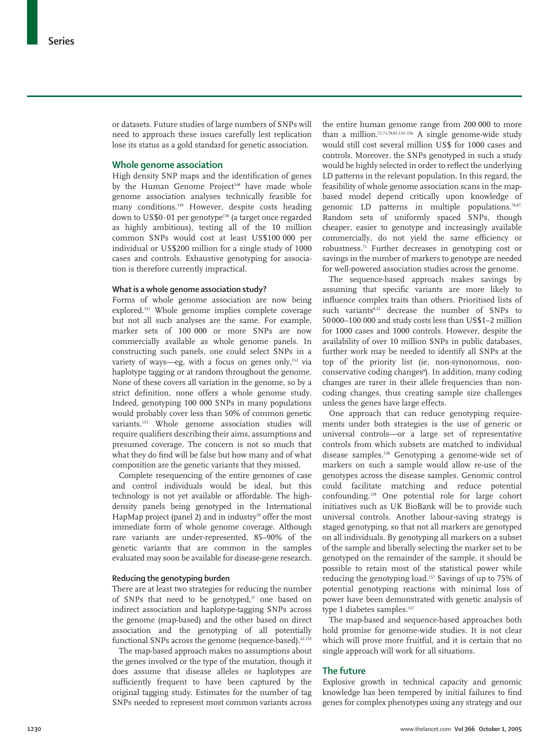or datasets. Future studies of large numbers of SNPs will need to approach these issues carefully lest replication lose its status as a gold standard for genetic association.

#### **Whole genome association**

High density SNP maps and the identification of genes by the Human Genome Project<sup>148</sup> have made whole genome association analyses technically feasible for many conditions.149 However, despite costs heading down to US\$0.01 per genotype<sup>150</sup> (a target once regarded as highly ambitious), testing all of the 10 million common SNPs would cost at least US\$100 000 per individual or US\$200 million for a single study of 1000 cases and controls. Exhaustive genotyping for association is therefore currently impractical.

#### **What is a whole genome association study?**

Forms of whole genome association are now being explored.151 Whole genome implies complete coverage but not all such analyses are the same. For example, marker sets of 100 000 or more SNPs are now commercially available as whole genome panels. In constructing such panels, one could select SNPs in a variety of ways—eg, with a focus on genes only,<sup>152</sup> via haplotype tagging or at random throughout the genome. None of these covers all variation in the genome, so by a strict definition, none offers a whole genome study. Indeed, genotyping 100 000 SNPs in many populations would probably cover less than 50% of common genetic variants.153 Whole genome association studies will require qualifiers describing their aims, assumptions and presumed coverage. The concern is not so much that what they do find will be false but how many and of what composition are the genetic variants that they missed.

Complete resequencing of the entire genomes of case and control individuals would be ideal, but this technology is not yet available or affordable. The highdensity panels being genotyped in the International HapMap project (panel 2) and in industry $\frac{70}{10}$  offer the most immediate form of whole genome coverage. Although rare variants are under-represented, 85–90% of the genetic variants that are common in the samples evaluated may soon be available for disease-gene research.

#### **Reducing the genotyping burden**

There are at least two strategies for reducing the number of SNPs that need to be genotyped,<sup>37</sup> one based on indirect association and haplotype-tagging SNPs across the genome (map-based) and the other based on direct association and the genotyping of all potentially functional SNPs across the genome (sequence-based).<sup>22,153</sup>

The map-based approach makes no assumptions about the genes involved or the type of the mutation, though it does assume that disease alleles or haplotypes are sufficiently frequent to have been captured by the original tagging study. Estimates for the number of tag SNPs needed to represent most common variants across

the entire human genome range from 200 000 to more than a million.<sup>71,73,78,81,154–156</sup> A single genome-wide study would still cost several million US\$ for 1000 cases and controls. Moreover, the SNPs genotyped in such a study would be highly selected in order to reflect the underlying LD patterns in the relevant population. In this regard, the feasibility of whole genome association scans in the mapbased model depend critically upon knowledge of genomic LD patterns in multiple populations.<sup>78,87,</sup> Random sets of uniformly spaced SNPs, though cheaper, easier to genotype and increasingly available commercially, do not yield the same efficiency or robustness.71 Further decreases in genotyping cost or savings in the number of markers to genotype are needed for well-powered association studies across the genome.

The sequence-based approach makes savings by assuming that specific variants are more likely to influence complex traits than others. Prioritised lists of such variants<sup>8,22</sup> decrease the number of SNPs to 50000–100 000 and study costs less than US\$1–2 million for 1000 cases and 1000 controls. However, despite the availability of over 10 million SNPs in public databases, further work may be needed to identify all SNPs at the top of the priority list (ie, non-synonomous, nonconservative coding changes<sup>8</sup>). In addition, many coding changes are rarer in their allele frequencies than noncoding changes, thus creating sample size challenges unless the genes have large effects.

One approach that can reduce genotyping requirements under both strategies is the use of generic or universal controls—or a large set of representative controls from which subsets are matched to individual disease samples.128 Genotyping a genome-wide set of markers on such a sample would allow re-use of the genotypes across the disease samples. Genomic control could facilitate matching and reduce potential confounding.128 One potential role for large cohort initiatives such as UK BioBank will be to provide such universal controls. Another labour-saving strategy is staged genotyping, so that not all markers are genotyped on all individuals. By genotyping all markers on a subset of the sample and liberally selecting the marker set to be genotyped on the remainder of the sample, it should be possible to retain most of the statistical power while reducing the genotyping load.157 Savings of up to 75% of potential genotyping reactions with minimal loss of power have been demonstrated with genetic analysis of type 1 diabetes samples.<sup>157</sup>

The map-based and sequence-based approaches both hold promise for genome-wide studies. It is not clear which will prove more fruitful, and it is certain that no single approach will work for all situations.

### **The future**

Explosive growth in technical capacity and genomic knowledge has been tempered by initial failures to find genes for complex phenotypes using any strategy and our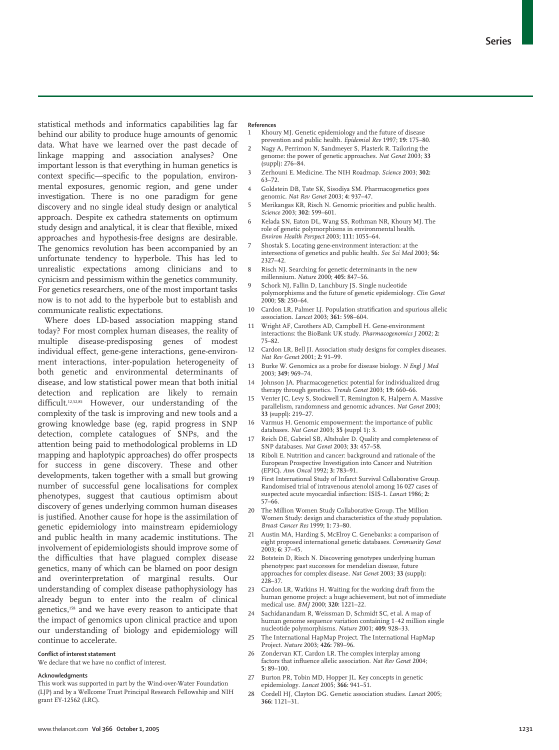statistical methods and informatics capabilities lag far behind our ability to produce huge amounts of genomic data. What have we learned over the past decade of linkage mapping and association analyses? One important lesson is that everything in human genetics is context specific—specific to the population, environmental exposures, genomic region, and gene under investigation. There is no one paradigm for gene discovery and no single ideal study design or analytical approach. Despite ex cathedra statements on optimum study design and analytical, it is clear that flexible, mixed approaches and hypothesis-free designs are desirable. The genomics revolution has been accompanied by an unfortunate tendency to hyperbole. This has led to unrealistic expectations among clinicians and to cynicism and pessimism within the genetics community. For genetics researchers, one of the most important tasks now is to not add to the hyperbole but to establish and communicate realistic expectations.

Where does LD-based association mapping stand today? For most complex human diseases, the reality of multiple disease-predisposing genes of modest individual effect, gene-gene interactions, gene-environment interactions, inter-population heterogeneity of both genetic and environmental determinants of disease, and low statistical power mean that both initial detection and replication are likely to remain difficult.12,52,85 However, our understanding of the complexity of the task is improving and new tools and a growing knowledge base (eg, rapid progress in SNP detection, complete catalogues of SNPs, and the attention being paid to methodological problems in LD mapping and haplotypic approaches) do offer prospects for success in gene discovery. These and other developments, taken together with a small but growing number of successful gene localisations for complex phenotypes, suggest that cautious optimism about discovery of genes underlying common human diseases is justified. Another cause for hope is the assimilation of genetic epidemiology into mainstream epidemiology and public health in many academic institutions. The involvement of epidemiologists should improve some of the difficulties that have plagued complex disease genetics, many of which can be blamed on poor design and overinterpretation of marginal results. Our understanding of complex disease pathophysiology has already begun to enter into the realm of clinical genetics,<sup>158</sup> and we have every reason to anticipate that the impact of genomics upon clinical practice and upon our understanding of biology and epidemiology will continue to accelerate.

#### **Conflict of interest statement**

We declare that we have no conflict of interest.

#### **Acknowledgments**

#### **References**

- Khoury MJ. Genetic epidemiology and the future of disease prevention and public health. *Epidemiol Rev* 1997; **19:** 175–80.
- .<br>Nagy A, Perrimon N, Sandmeyer S, Plasterk R. Tailoring the genome: the power of genetic approaches. *Nat Genet* 2003; **33** (suppl)**:** 276–84.
- 3 Zerhouni E. Medicine. The NIH Roadmap. *Science* 2003; **302:** 63–72.
- 4 Goldstein DB, Tate SK, Sisodiya SM. Pharmacogenetics goes genomic. *Nat Rev Genet* 2003; **4:** 937–47.
- 5 Merikangas KR, Risch N. Genomic priorities and public health. *Science* 2003; **302:** 599–601.
- Kelada SN, Eaton DL, Wang SS, Rothman NR, Khoury MJ. The role of genetic polymorphisms in environmental health. *Environ Health Perspect* 2003; **111:** 1055–64.
- Shostak S. Locating gene-environment interaction: at the intersections of genetics and public health. *Soc Sci Med* 2003; **56:** 2327–42.
- 8 Risch NJ. Searching for genetic determinants in the new millennium. *Nature* 2000; **405:** 847–56.
- 9 Schork NJ, Fallin D, Lanchbury JS. Single nucleotide polymorphisms and the future of genetic epidemiology. *Clin Genet* 2000; **58:** 250–64.
- 10 Cardon LR, Palmer LJ. Population stratification and spurious allelic association. *Lancet* 2003; **361:** 598–604.
- 11 Wright AF, Carothers AD, Campbell H. Gene-environment interactions: the BioBank UK study. *Pharmacogenomics J* 2002; **2:** 75–82.
- 12 Cardon LR, Bell JI. Association study designs for complex diseases. *Nat Rev Genet* 2001; **2:** 91–99.
- 13 Burke W. Genomics as a probe for disease biology. *N Engl J Med* 2003; **349:** 969–74.
- Johnson JA. Pharmacogenetics: potential for individualized drug therapy through genetics. *Trends Genet* 2003; **19:** 660–66.
- Venter JC, Levy S, Stockwell T, Remington K, Halpern A. Massive parallelism, randomness and genomic advances. *Nat Genet* 2003; **33** (suppl)**:** 219–27.
- 16 Varmus H. Genomic empowerment: the importance of public databases. *Nat Genet* 2003; **35** (suppl 1)**:** 3.
- 17 Reich DE, Gabriel SB, Altshuler D. Quality and completeness of SNP databases. *Nat Genet* 2003; **33:** 457–58.
- Riboli E. Nutrition and cancer: background and rationale of the European Prospective Investigation into Cancer and Nutrition (EPIC). *Ann Oncol* 1992; **3:** 783–91.
- 19 First International Study of Infarct Survival Collaborative Group. Randomised trial of intravenous atenolol among 16 027 cases of suspected acute myocardial infarction: ISIS-1. *Lancet* 1986; **2:** 57–66.
- 20 The Million Women Study Collaborative Group. The Million Women Study: design and characteristics of the study population. *Breast Cancer Res* 1999; **1:** 73–80.
- Austin MA, Harding S, McElroy C. Genebanks: a comparison of eight proposed international genetic databases. *Community Genet* 2003; **6:** 37–45.
- Botstein D, Risch N. Discovering genotypes underlying human phenotypes: past successes for mendelian disease, future approaches for complex disease. *Nat Genet* 2003; **33** (suppl)**:** 228–37.
- 23 Cardon LR, Watkins H. Waiting for the working draft from the human genome project: a huge achievement, but not of immediate medical use. *BMJ* 2000; **320:** 1221–22.
- 24 Sachidanandam R, Weissman D, Schmidt SC, et al. A map of human genome sequence variation containing 1·42 million single nucleotide polymorphisms. *Nature* 2001; **409:** 928–33.
- 25 The International HapMap Project. The International HapMap Project. *Nature* 2003; **426:** 789–96.
- 26 Zondervan KT, Cardon LR. The complex interplay among factors that influence allelic association. *Nat Rev Genet* 2004; **5:** 89–100.
- Burton PR, Tobin MD, Hopper JL. Key concepts in genetic epidemiology. *Lancet* 2005; **366:** 941–51.
- 28 Cordell HJ, Clayton DG. Genetic association studies. *Lancet* 2005; **366:** 1121–31.

This work was supported in part by the Wind-over-Water Foundation (LJP) and by a Wellcome Trust Principal Research Fellowship and NIH grant EY-12562 (LRC).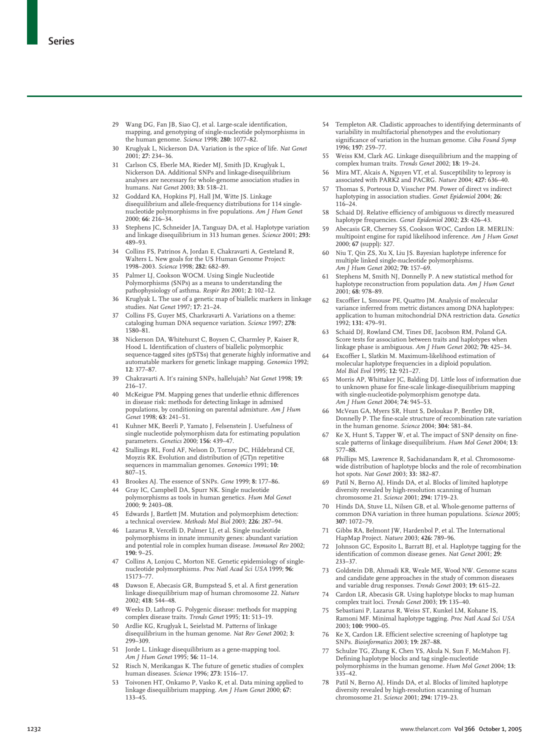- 29 Wang DG, Fan JB, Siao CJ, et al. Large-scale identification, mapping, and genotyping of single-nucleotide polymorphisms in the human genome. *Science* 1998; **280:** 1077–82.
- 30 Kruglyak L, Nickerson DA. Variation is the spice of life. *Nat Genet* 2001; **27:** 234–36.
- 31 Carlson CS, Eberle MA, Rieder MJ, Smith JD, Kruglyak L, Nickerson DA. Additional SNPs and linkage-disequilibrium analyses are necessary for whole-genome association studies in humans. *Nat Genet* 2003; **33:** 518–21.
- 32 Goddard KA, Hopkins PJ, Hall JM, Witte JS. Linkage disequilibrium and allele-frequency distributions for 114 singlenucleotide polymorphisms in five populations. *Am J Hum Genet* 2000; **66:** 216–34.
- 33 Stephens JC, Schneider JA, Tanguay DA, et al. Haplotype variation and linkage disequilibrium in 313 human genes. *Science* 2001; **293:** 489–93.
- 34 Collins FS, Patrinos A, Jordan E, Chakravarti A, Gesteland R, Walters L. New goals for the US Human Genome Project: 1998–2003. *Science* 1998; **282:** 682–89.
- 35 Palmer LJ, Cookson WOCM. Using Single Nucleotide Polymorphisms (SNPs) as a means to understanding the pathophysiology of asthma. *Respir Res* 2001; **2:** 102–12.
- 36 Kruglyak L. The use of a genetic map of biallelic markers in linkage studies. *Nat Genet* 1997; **17:** 21–24.
- 37 Collins FS, Guyer MS, Charkravarti A. Variations on a theme: cataloging human DNA sequence variation. *Science* 1997; **278:** 1580–81.
- 38 Nickerson DA, Whitehurst C, Boysen C, Charmley P, Kaiser R, Hood L. Identification of clusters of biallelic polymorphic sequence-tagged sites (pSTSs) that generate highly informative and automatable markers for genetic linkage mapping. *Genomics* 1992; **12:** 377–87.
- 39 Chakravarti A. It's raining SNPs, hallelujah? *Nat Genet* 1998; **19:** 216–17.
- 40 McKeigue PM. Mapping genes that underlie ethnic differences in disease risk: methods for detecting linkage in admixed populations, by conditioning on parental admixture. *Am J Hum Genet* 1998; **63:** 241–51.
- 41 Kuhner MK, Beerli P, Yamato J, Felsenstein J. Usefulness of single nucleotide polymorphism data for estimating population parameters. *Genetics* 2000; **156:** 439–47.
- 42 Stallings RL, Ford AF, Nelson D, Torney DC, Hildebrand CE, Moyzis RK. Evolution and distribution of (GT)n repetitive sequences in mammalian genomes. *Genomics* 1991; **10:**  807–15.
- 43 Brookes AJ. The essence of SNPs. *Gene* 1999; **8:** 177–86.
- 44 Gray IC, Campbell DA, Spurr NK. Single nucleotide polymorphisms as tools in human genetics. *Hum Mol Genet*  2000; **9:** 2403–08.
- 45 Edwards J, Bartlett JM. Mutation and polymorphism detection: a technical overview. *Methods Mol Biol* 2003; **226:** 287–94.
- 46 Lazarus R, Vercelli D, Palmer LJ, et al. Single nucleotide polymorphisms in innate immunity genes: abundant variation and potential role in complex human disease. *Immunol Rev* 2002; **190:** 9–25.
- 47 Collins A, Lonjou C, Morton NE. Genetic epidemiology of singlenucleotide polymorphisms. *Proc Natl Acad Sci USA* 1999; **96:** 15173–77.
- 48 Dawson E, Abecasis GR, Bumpstead S, et al. A first generation linkage disequilibrium map of human chromosome 22. *Nature* 2002; **418:** 544–48.
- 49 Weeks D, Lathrop G. Polygenic disease: methods for mapping complex disease traits. *Trends Genet* 1995; **11:** 513–19.
- 50 Ardlie KG, Kruglyak L, Seielstad M. Patterns of linkage disequilibrium in the human genome. *Nat Rev Genet* 2002; **3:** 299–309.
- 51 Jorde L. Linkage disequilibrium as a gene-mapping tool. *Am J Hum Genet* 1995; **56:** 11–14.
- 52 Risch N, Merikangas K. The future of genetic studies of complex human diseases. *Science* 1996; **273:** 1516–17.
- 53 Toivonen HT, Onkamo P, Vasko K, et al. Data mining applied to linkage disequilibrium mapping. *Am J Hum Genet* 2000; **67:** 133–45.
- 54 Templeton AR. Cladistic approaches to identifying determinants of variability in multifactorial phenotypes and the evolutionary significance of variation in the human genome. *Ciba Found Symp* 1996; **197:** 259–77.
- 55 Weiss KM, Clark AG. Linkage disequilibrium and the mapping of complex human traits. *Trends Genet* 2002; **18:** 19–24.
- Mira MT, Alcais A, Nguyen VT, et al. Susceptibility to leprosy is associated with PARK2 and PACRG. *Nature* 2004; **427:** 636–40.
- 57 Thomas S, Porteous D, Visscher PM. Power of direct vs indirect haplotyping in association studies. *Genet Epidemiol* 2004; **26:** 116–24.
- Schaid DJ. Relative efficiency of ambiguous vs directly measured haplotype frequencies. *Genet Epidemiol* 2002; **23:** 426–43.
- Abecasis GR, Cherney SS, Cookson WOC, Cardon LR. MERLIN: multipoint engine for rapid likelihood inference. *Am J Hum Genet* 2000; **67** (suppl)**:** 327.
- 60 Niu T, Qin ZS, Xu X, Liu JS. Bayesian haplotype inference for multiple linked single-nucleotide polymorphisms. *Am J Hum Genet* 2002; **70:** 157–69.
- Stephens M, Smith NJ, Donnelly P. A new statistical method for haplotype reconstruction from population data. *Am J Hum Genet* 2001; **68:** 978–89.
- 62 Excoffier L, Smouse PE, Quattro JM. Analysis of molecular variance inferred from metric distances among DNA haplotypes: application to human mitochondrial DNA restriction data. *Genetics* 1992; **131:** 479–91.
- 63 Schaid DJ, Rowland CM, Tines DE, Jacobson RM, Poland GA. Score tests for association between traits and haplotypes when linkage phase is ambiguous. *Am J Hum Genet* 2002; **70:** 425–34.
- 64 Excoffier L, Slatkin M. Maximum-likelihood estimation of molecular haplotype frequencies in a diploid population. *Mol Biol Evol* 1995; **12:** 921–27.
- Morris AP, Whittaker JC, Balding DJ. Little loss of information due to unknown phase for fine-scale linkage-disequilibrium mapping with single-nucleotide-polymorphism genotype data. *Am J Hum Genet* 2004; **74:** 945–53.
- 66 McVean GA, Myers SR, Hunt S, Deloukas P, Bentley DR, Donnelly P. The fine-scale structure of recombination rate variation in the human genome. *Science* 2004; **304:** 581–84.
- Ke X, Hunt S, Tapper W, et al. The impact of SNP density on finescale patterns of linkage disequilibrium. *Hum Mol Genet* 2004; **13:** 577–88.
- 68 Phillips MS, Lawrence R, Sachidanandam R, et al. Chromosomewide distribution of haplotype blocks and the role of recombination hot spots. *Nat Genet* 2003; **33:** 382–87.
- 69 Patil N, Berno AJ, Hinds DA, et al. Blocks of limited haplotype diversity revealed by high-resolution scanning of human chromosome 21. *Science* 2001; **294:** 1719–23.
- 70 Hinds DA, Stuve LL, Nilsen GB, et al. Whole-genome patterns of common DNA variation in three human populations. *Science* 2005; **307:** 1072–79.
- 71 Gibbs RA, Belmont JW, Hardenbol P, et al. The International HapMap Project. *Nature* 2003; **426:** 789–96.
- 72 Johnson GC, Esposito L, Barratt BJ, et al. Haplotype tagging for the identification of common disease genes. *Nat Genet* 2001; **29:** 233–37.
- 73 Goldstein DB, Ahmadi KR, Weale ME, Wood NW. Genome scans and candidate gene approaches in the study of common diseases and variable drug responses. *Trends Genet* 2003; **19:** 615–22.
- Cardon LR, Abecasis GR. Using haplotype blocks to map human complex trait loci. *Trends Genet* 2003; **19:** 135–40.
- 75 Sebastiani P, Lazarus R, Weiss ST, Kunkel LM, Kohane IS, Ramoni MF. Minimal haplotype tagging. *Proc Natl Acad Sci USA* 2003; **100:** 9900–05.
- Ke X, Cardon LR. Efficient selective screening of haplotype tag SNPs. *Bioinformatics* 2003; **19:** 287–88.
- 77 Schulze TG, Zhang K, Chen YS, Akula N, Sun F, McMahon FJ. Defining haplotype blocks and tag single-nucleotide polymorphisms in the human genome. *Hum Mol Genet* 2004; **13:** 335–42.
- Patil N, Berno AJ, Hinds DA, et al. Blocks of limited haplotype diversity revealed by high-resolution scanning of human chromosome 21. *Science* 2001; **294:** 1719–23.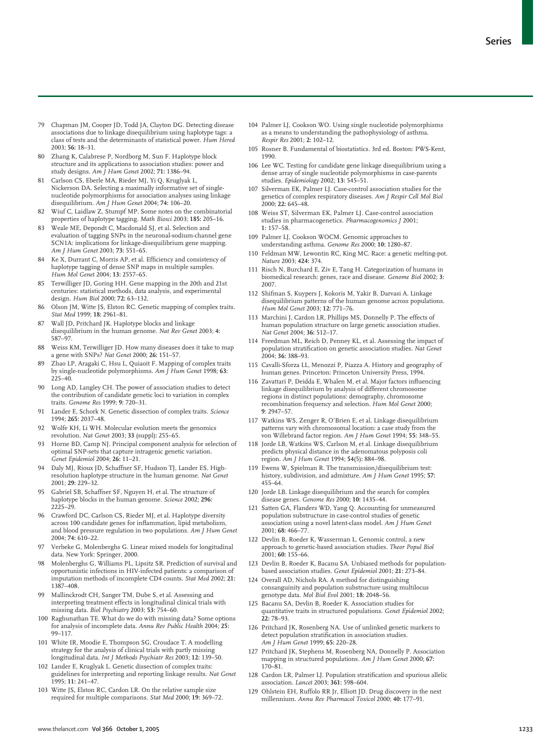- 79 Chapman JM, Cooper JD, Todd JA, Clayton DG. Detecting disease associations due to linkage disequilibrium using haplotype tags: a class of tests and the determinants of statistical power. *Hum Hered* 2003; **56:** 18–31.
- 80 Zhang K, Calabrese P, Nordborg M, Sun F. Haplotype block structure and its applications to association studies: power and study designs. *Am J Hum Genet* 2002; **71:** 1386–94.
- 81 Carlson CS, Eberle MA, Rieder MJ, Yi Q, Kruglyak L, Nickerson DA. Selecting a maximally informative set of singlenucleotide polymorphisms for association analyses using linkage disequilibrium. *Am J Hum Genet* 2004; **74:** 106–20.
- 82 Wiuf C, Laidlaw Z, Stumpf MP. Some notes on the combinatorial properties of haplotype tagging. *Math Biosci* 2003; **185:** 205–16. 83 Weale ME, Depondt C, Macdonald SJ, et al. Selection and
- evaluation of tagging SNPs in the neuronal-sodium-channel gene SCN1A: implications for linkage-disequilibrium gene mapping. *Am J Hum Genet* 2003; **73:** 551–65.
- 84 Ke X, Durrant C, Morris AP, et al. Efficiency and consistency of haplotype tagging of dense SNP maps in multiple samples. *Hum Mol Genet* 2004; **13:** 2557–65.
- 85 Terwilliger JD, Goring HH. Gene mapping in the 20th and 21st centuries: statistical methods, data analysis, and experimental design. *Hum Biol* 2000; **72:** 63–132.
- Olson JM, Witte JS, Elston RC. Genetic mapping of complex traits. *Stat Med* 1999; **18:** 2961–81.
- 87 Wall JD, Pritchard JK. Haplotype blocks and linkage disequilibrium in the human genome. *Nat Rev Genet* 2003; **4:** 587–97.
- 88 Weiss KM, Terwilliger JD. How many diseases does it take to map a gene with SNPs? *Nat Genet* 2000; **26:** 151–57.
- 89 Zhao LP, Aragaki C, Hsu L, Quiaoit F. Mapping of complex traits by single-nucleotide polymorphisms. *Am J Hum Genet* 1998; **63:**  $225 - 40$
- 90 Long AD, Langley CH. The power of association studies to detect the contribution of candidate genetic loci to variation in complex traits. *Genome Res* 1999; **9:** 720–31.
- 91 Lander E, Schork N. Genetic dissection of complex traits. *Science* 1994; **265:** 2037–48.
- 92 Wolfe KH, Li WH. Molecular evolution meets the genomics revolution. *Nat Genet* 2003; **33** (suppl)**:** 255–65.
- 93 Horne BD, Camp NJ. Principal component analysis for selection of optimal SNP-sets that capture intragenic genetic variation. *Genet Epidemiol* 2004; **26:** 11–21.
- 94 Daly MJ, Rioux JD, Schaffner SF, Hudson TJ, Lander ES. Highresolution haplotype structure in the human genome. *Nat Genet* 2001; **29:** 229–32.
- 95 Gabriel SB, Schaffner SF, Nguyen H, et al. The structure of haplotype blocks in the human genome. *Science* 2002; **296:** 2225–29.
- 96 Crawford DC, Carlson CS, Rieder MJ, et al. Haplotype diversity across 100 candidate genes for inflammation, lipid metabolism, and blood pressure regulation in two populations. *Am J Hum Genet* 2004; **74:** 610–22.
- Verbeke G, Molenberghs G. Linear mixed models for longitudinal data. New York: Springer, 2000.
- 98 Molenberghs G, Williams PL, Lipsitz SR. Prediction of survival and opportunistic infections in HIV-infected patients: a comparison of imputation methods of incomplete CD4 counts. *Stat Med* 2002; **21:** 1387–408.
- Mallinckrodt CH, Sanger TM, Dube S, et al. Assessing and interpreting treatment effects in longitudinal clinical trials with missing data. *Biol Psychiatry* 2003; **53:** 754–60.
- 100 Raghunathan TE. What do we do with missing data? Some options for analysis of incomplete data. *Annu Rev Public Health* 2004; **25:** 99–117.
- 101 White IR, Moodie E, Thompson SG, Croudace T. A modelling strategy for the analysis of clinical trials with partly missing longitudinal data. *Int J Methods Psychiatr Res* 2003; **12:** 139–50.
- 102 Lander E, Kruglyak L. Genetic dissection of complex traits: guidelines for interpreting and reporting linkage results. *Nat Genet* 1995; **11:** 241–47.
- 103 Witte JS, Elston RC, Cardon LR. On the relative sample size required for multiple comparisons. *Stat Med* 2000; **19:** 369–72.
- 104 Palmer LJ, Cookson WO. Using single nucleotide polymorphisms as a means to understanding the pathophysiology of asthma. *Respir Res* 2001; **2:** 102–12.
- 105 Rosner B. Fundamental of biostatistics. 3rd ed. Boston: PWS-Kent, 1990.
- 106 Lee WC. Testing for candidate gene linkage disequilibrium using a dense array of single nucleotide polymorphisms in case-parents studies. *Epidemiology* 2002; **13:** 545–51.
- 107 Silverman EK, Palmer LJ. Case-control association studies for the genetics of complex respiratory diseases. *Am J Respir Cell Mol Biol* 2000; **22:** 645–48.
- 108Weiss ST, Silverman EK, Palmer LJ. Case-control association studies in pharmacogenetics. *Pharmacogenomics J* 2001; **1:** 157–58.
- 109 Palmer LJ, Cookson WOCM. Genomic approaches to understanding asthma. *Genome Res* 2000; **10:** 1280–87.
- 110 Feldman MW, Lewontin RC, King MC. Race: a genetic melting-pot. *Nature* 2003; **424:** 374.
- 111 Risch N, Burchard E, Ziv E, Tang H. Categorization of humans in biomedical research: genes, race and disease. *Genome Biol* 2002; **3:** 2007.
- 112 Shifman S, Kuypers J, Kokoris M, Yakir B, Darvasi A. Linkage disequilibrium patterns of the human genome across populations. *Hum Mol Genet* 2003; **12:** 771–76.
- 113 Marchini J, Cardon LR, Phillips MS, Donnelly P. The effects of human population structure on large genetic association studies. *Nat Genet* 2004; **36:** 512–17.
- 114 Freedman ML, Reich D, Penney KL, et al. Assessing the impact of population stratification on genetic association studies. *Nat Genet* 2004; **36:** 388–93.
- 115 Cavalli-Sforza LL, Menozzi P, Piazza A. History and geography of human genes. Princeton: Princeton University Press, 1994.
- 116 Zavattari P, Deidda E, Whalen M, et al. Major factors influencing linkage disequilibrium by analysis of different chromosome regions in distinct populations: demography, chromosome recombination frequency and selection. *Hum Mol Genet* 2000; **9**: 2947–57.
- 117 Watkins WS, Zenger R, O'Brien E, et al. Linkage disequilibrium patterns vary with chromosomal location: a case study from the von Willebrand factor region. *Am J Hum Genet* 1994; **55:** 348–55.
- 118 Jorde LB, Watkins WS, Carlson M, et al. Linkage disequilibrium predicts physical distance in the adenomatous polyposis coli region. *Am J Hum Genet* 1994; **54**(5)**:** 884–98.
- 119 Ewens W, Spielman R. The transmission/disequilibrium test: history, subdivision, and admixture. *Am J Hum Genet* 1995; **57:** 455–64.
- 120 Jorde LB. Linkage disequilibrium and the search for complex disease genes. *Genome Res* 2000; **10:** 1435–44.
- 121 Satten GA, Flanders WD, Yang Q. Accounting for unmeasured population substructure in case-control studies of genetic association using a novel latent-class model. *Am J Hum Genet* 2001; **68:** 466–77.
- 122 Devlin B, Roeder K, Wasserman L. Genomic control, a new approach to genetic-based association studies. *Theor Popul Biol* 2001; **60:** 155–66.
- 123 Devlin B, Roeder K, Bacanu SA. Unbiased methods for populationbased association studies. *Genet Epidemiol* 2001; **21:** 273–84.
- 124 Overall AD, Nichols RA. A method for distinguishing consanguinity and population substructure using multilocus genotype data. *Mol Biol Evol* 2001; **18:** 2048–56.
- 125 Bacanu SA, Devlin B, Roeder K. Association studies for quantitative traits in structured populations. *Genet Epidemiol* 2002; **22:** 78–93.
- 126 Pritchard JK, Rosenberg NA. Use of unlinked genetic markers to detect population stratification in association studies. *Am J Hum Genet* 1999; **65:** 220–28.
- 127 Pritchard JK, Stephens M, Rosenberg NA, Donnelly P. Association mapping in structured populations. *Am J Hum Genet* 2000; **67:** 170–81.
- 128 Cardon LR, Palmer LJ. Population stratification and spurious allelic association. *Lancet* 2003; **361:** 598–604.
- 129 Ohlstein EH, Ruffolo RR Jr, Elliott JD. Drug discovery in the next millennium. *Annu Rev Pharmacol Toxicol* 2000; **40:** 177–91.